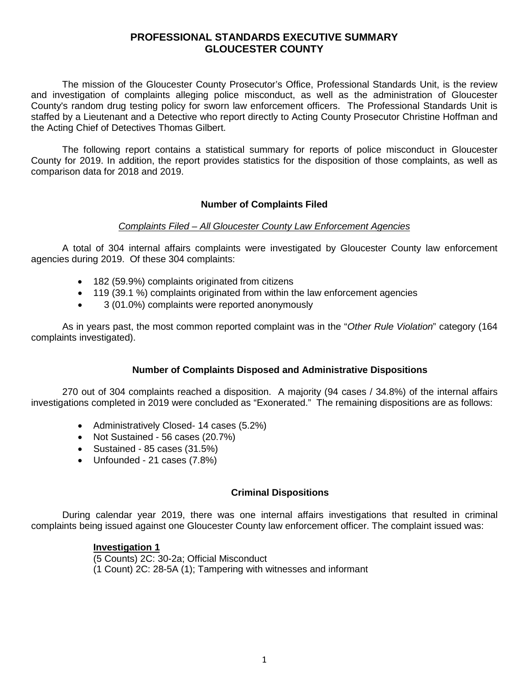# **PROFESSIONAL STANDARDS EXECUTIVE SUMMARY GLOUCESTER COUNTY**

The mission of the Gloucester County Prosecutor's Office, Professional Standards Unit, is the review and investigation of complaints alleging police misconduct, as well as the administration of Gloucester County's random drug testing policy for sworn law enforcement officers. The Professional Standards Unit is staffed by a Lieutenant and a Detective who report directly to Acting County Prosecutor Christine Hoffman and the Acting Chief of Detectives Thomas Gilbert.

The following report contains a statistical summary for reports of police misconduct in Gloucester County for 2019. In addition, the report provides statistics for the disposition of those complaints, as well as comparison data for 2018 and 2019.

## **Number of Complaints Filed**

## *Complaints Filed – All Gloucester County Law Enforcement Agencies*

A total of 304 internal affairs complaints were investigated by Gloucester County law enforcement agencies during 2019. Of these 304 complaints:

- 182 (59.9%) complaints originated from citizens
- 119 (39.1 %) complaints originated from within the law enforcement agencies
- 3 (01.0%) complaints were reported anonymously

As in years past, the most common reported complaint was in the "*Other Rule Violation*" category (164 complaints investigated).

## **Number of Complaints Disposed and Administrative Dispositions**

270 out of 304 complaints reached a disposition. A majority (94 cases / 34.8%) of the internal affairs investigations completed in 2019 were concluded as "Exonerated." The remaining dispositions are as follows:

- Administratively Closed- 14 cases (5.2%)
- Not Sustained 56 cases (20.7%)
- Sustained 85 cases (31.5%)
- Unfounded 21 cases (7.8%)

#### **Criminal Dispositions**

During calendar year 2019, there was one internal affairs investigations that resulted in criminal complaints being issued against one Gloucester County law enforcement officer. The complaint issued was:

#### **Investigation 1**

(5 Counts) 2C: 30-2a; Official Misconduct (1 Count) 2C: 28-5A (1); Tampering with witnesses and informant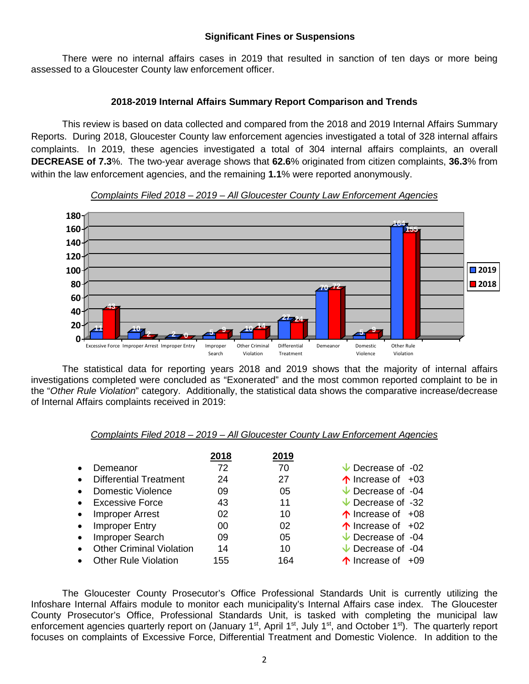## **Significant Fines or Suspensions**

There were no internal affairs cases in 2019 that resulted in sanction of ten days or more being assessed to a Gloucester County law enforcement officer.

## **2018-2019 Internal Affairs Summary Report Comparison and Trends**

This review is based on data collected and compared from the 2018 and 2019 Internal Affairs Summary Reports. During 2018, Gloucester County law enforcement agencies investigated a total of 328 internal affairs complaints. In 2019, these agencies investigated a total of 304 internal affairs complaints, an overall **DECREASE of 7.3**%. The two-year average shows that **62.6**% originated from citizen complaints, **36.3**% from within the law enforcement agencies, and the remaining **1.1**% were reported anonymously.



#### *Complaints Filed 2018 – 2019 – All Gloucester County Law Enforcement Agencies*

The statistical data for reporting years 2018 and 2019 shows that the majority of internal affairs investigations completed were concluded as "Exonerated" and the most common reported complaint to be in the "*Other Rule Violation*" category. Additionally, the statistical data shows the comparative increase/decrease of Internal Affairs complaints received in 2019:

#### *Complaints Filed 2018 – 2019 – All Gloucester County Law Enforcement Agencies*

|           |                                 | 2018 | 2019 |                              |
|-----------|---------------------------------|------|------|------------------------------|
|           | Demeanor                        | 72   | 70   | $\vee$ Decrease of -02       |
| $\bullet$ | <b>Differential Treatment</b>   | 24   | 27   | $\uparrow$ Increase of +03   |
| $\bullet$ | Domestic Violence               | 09   | 05   | $\vee$ Decrease of -04       |
| $\bullet$ | <b>Excessive Force</b>          | 43   | 11   | $\vee$ Decrease of -32       |
| $\bullet$ | <b>Improper Arrest</b>          | 02   | 10   | $\uparrow$ Increase of $+08$ |
| $\bullet$ | <b>Improper Entry</b>           | 00   | 02   | $\uparrow$ Increase of $+02$ |
| $\bullet$ | Improper Search                 | 09   | 05   | $\vee$ Decrease of -04       |
| $\bullet$ | <b>Other Criminal Violation</b> | 14   | 10   | $\vee$ Decrease of -04       |
|           | <b>Other Rule Violation</b>     | 155  | 164  | ↑ Increase of<br>$+0.9$      |

The Gloucester County Prosecutor's Office Professional Standards Unit is currently utilizing the Infoshare Internal Affairs module to monitor each municipality's Internal Affairs case index. The Gloucester County Prosecutor's Office, Professional Standards Unit, is tasked with completing the municipal law enforcement agencies quarterly report on (January 1<sup>st</sup>, April 1<sup>st</sup>, July 1<sup>st</sup>, and October 1<sup>st</sup>). The quarterly report focuses on complaints of Excessive Force, Differential Treatment and Domestic Violence. In addition to the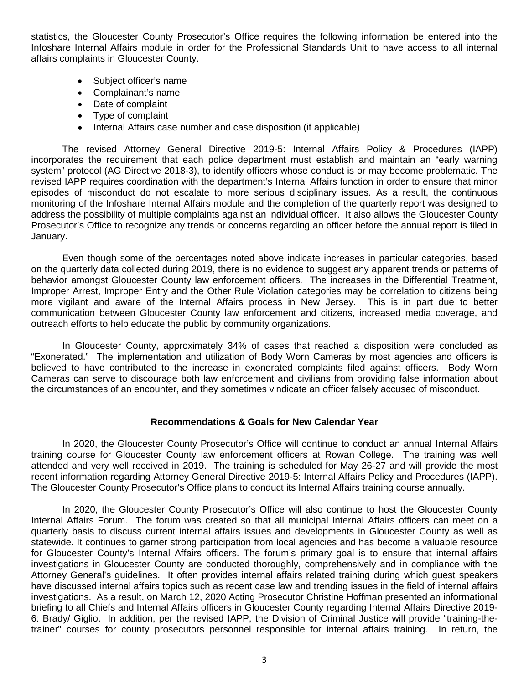statistics, the Gloucester County Prosecutor's Office requires the following information be entered into the Infoshare Internal Affairs module in order for the Professional Standards Unit to have access to all internal affairs complaints in Gloucester County.

- Subject officer's name
- Complainant's name
- Date of complaint
- Type of complaint
- Internal Affairs case number and case disposition (if applicable)

The revised Attorney General Directive 2019-5: Internal Affairs Policy & Procedures (IAPP) incorporates the requirement that each police department must establish and maintain an "early warning system" protocol (AG Directive 2018-3), to identify officers whose conduct is or may become problematic. The revised IAPP requires coordination with the department's Internal Affairs function in order to ensure that minor episodes of misconduct do not escalate to more serious disciplinary issues. As a result, the continuous monitoring of the Infoshare Internal Affairs module and the completion of the quarterly report was designed to address the possibility of multiple complaints against an individual officer. It also allows the Gloucester County Prosecutor's Office to recognize any trends or concerns regarding an officer before the annual report is filed in January.

Even though some of the percentages noted above indicate increases in particular categories, based on the quarterly data collected during 2019, there is no evidence to suggest any apparent trends or patterns of behavior amongst Gloucester County law enforcement officers. The increases in the Differential Treatment, Improper Arrest, Improper Entry and the Other Rule Violation categories may be correlation to citizens being more vigilant and aware of the Internal Affairs process in New Jersey. This is in part due to better communication between Gloucester County law enforcement and citizens, increased media coverage, and outreach efforts to help educate the public by community organizations.

In Gloucester County, approximately 34% of cases that reached a disposition were concluded as "Exonerated." The implementation and utilization of Body Worn Cameras by most agencies and officers is believed to have contributed to the increase in exonerated complaints filed against officers. Body Worn Cameras can serve to discourage both law enforcement and civilians from providing false information about the circumstances of an encounter, and they sometimes vindicate an officer falsely accused of misconduct.

#### **Recommendations & Goals for New Calendar Year**

In 2020, the Gloucester County Prosecutor's Office will continue to conduct an annual Internal Affairs training course for Gloucester County law enforcement officers at Rowan College. The training was well attended and very well received in 2019. The training is scheduled for May 26-27 and will provide the most recent information regarding Attorney General Directive 2019-5: Internal Affairs Policy and Procedures (IAPP). The Gloucester County Prosecutor's Office plans to conduct its Internal Affairs training course annually.

In 2020, the Gloucester County Prosecutor's Office will also continue to host the Gloucester County Internal Affairs Forum. The forum was created so that all municipal Internal Affairs officers can meet on a quarterly basis to discuss current internal affairs issues and developments in Gloucester County as well as statewide. It continues to garner strong participation from local agencies and has become a valuable resource for Gloucester County's Internal Affairs officers. The forum's primary goal is to ensure that internal affairs investigations in Gloucester County are conducted thoroughly, comprehensively and in compliance with the Attorney General's guidelines. It often provides internal affairs related training during which guest speakers have discussed internal affairs topics such as recent case law and trending issues in the field of internal affairs investigations. As a result, on March 12, 2020 Acting Prosecutor Christine Hoffman presented an informational briefing to all Chiefs and Internal Affairs officers in Gloucester County regarding Internal Affairs Directive 2019- 6: Brady/ Giglio. In addition, per the revised IAPP, the Division of Criminal Justice will provide "training-thetrainer" courses for county prosecutors personnel responsible for internal affairs training. In return, the